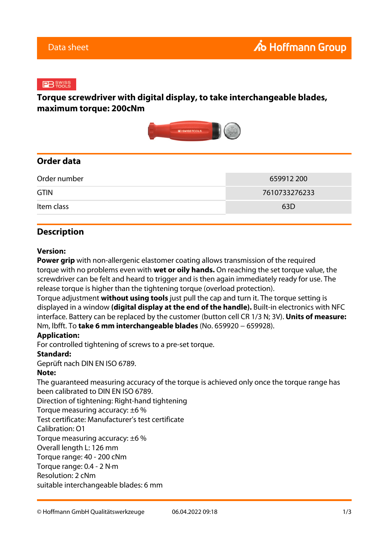#### $B$   $^{swiss}_{\text{roots}}$

## **Torque screwdriver with digital display, to take interchangeable blades, maximum torque: 200cNm**



### **Order data**

| Order number | 659912 200    |
|--------------|---------------|
| <b>GTIN</b>  | 7610733276233 |
| Item class   | 63D           |

## **Description**

#### **Version:**

**Power grip** with non-allergenic elastomer coating allows transmission of the required torque with no problems even with **wet or oily hands.** On reaching the set torque value, the screwdriver can be felt and heard to trigger and is then again immediately ready for use. The release torque is higher than the tightening torque (overload protection).

Torque adjustment **without using tools** just pull the cap and turn it. The torque setting is displayed in a window **(digital display at the end of the handle).** Built-in electronics with NFC interface. Battery can be replaced by the customer (button cell CR 1/3 N; 3V). **Units of measure:** Nm, lbfft. To **take 6 mm interchangeable blades** (No. 659920 − 659928).

#### **Application:**

For controlled tightening of screws to a pre-set torque.

#### **Standard:**

Geprüft nach DIN EN ISO 6789.

#### **Note:**

The guaranteed measuring accuracy of the torque is achieved only once the torque range has been calibrated to DIN EN ISO 6789.

Direction of tightening: Right-hand tightening

Torque measuring accuracy: ±6 %

Test certificate: Manufacturer's test certificate

Calibration: O1

Torque measuring accuracy: ±6 %

Overall length L: 126 mm

Torque range: 40 - 200 cNm

Torque range: 0.4 - 2 N·m

Resolution: 2 cNm

suitable interchangeable blades: 6 mm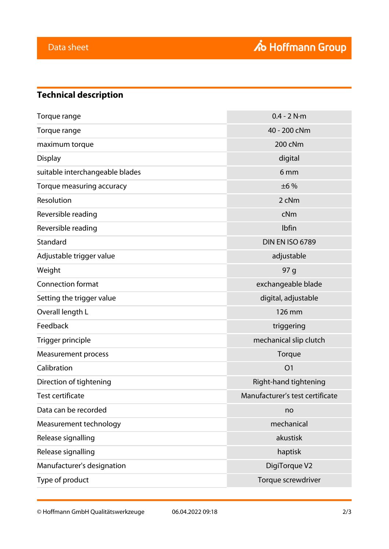# **Technical description**

| Torque range                    | $0.4 - 2 N·m$                   |
|---------------------------------|---------------------------------|
| Torque range                    | 40 - 200 cNm                    |
| maximum torque                  | 200 cNm                         |
| <b>Display</b>                  | digital                         |
| suitable interchangeable blades | 6 <sub>mm</sub>                 |
| Torque measuring accuracy       | ±6%                             |
| Resolution                      | 2 cNm                           |
| Reversible reading              | cNm                             |
| Reversible reading              | Ibfin                           |
| Standard                        | <b>DIN EN ISO 6789</b>          |
| Adjustable trigger value        | adjustable                      |
| Weight                          | 97 g                            |
| <b>Connection format</b>        | exchangeable blade              |
| Setting the trigger value       | digital, adjustable             |
| Overall length L                | 126 mm                          |
| Feedback                        | triggering                      |
| Trigger principle               | mechanical slip clutch          |
| <b>Measurement process</b>      | Torque                          |
| Calibration                     | O <sub>1</sub>                  |
| Direction of tightening         | Right-hand tightening           |
| <b>Test certificate</b>         | Manufacturer's test certificate |
| Data can be recorded            | no                              |
| Measurement technology          | mechanical                      |
| Release signalling              | akustisk                        |
| Release signalling              | haptisk                         |
| Manufacturer's designation      | DigiTorque V2                   |
| Type of product                 | Torque screwdriver              |